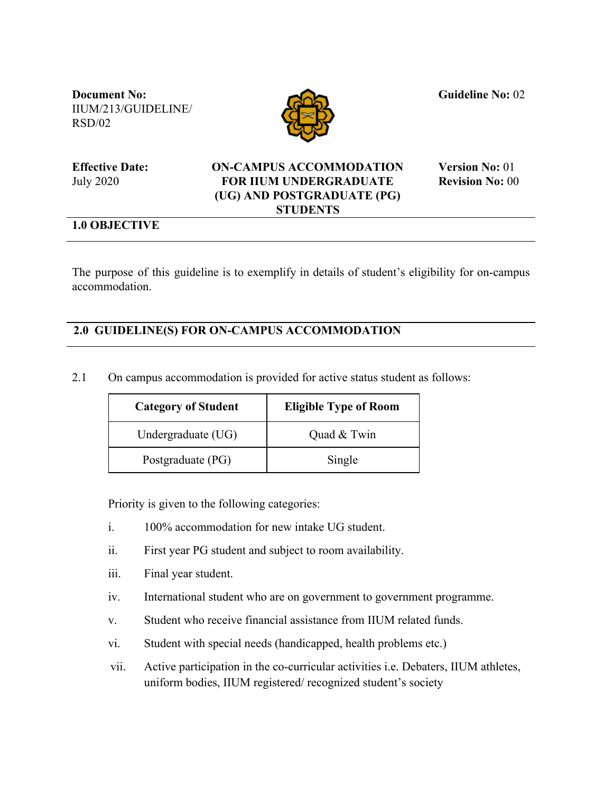**Document No:** IIUM/213/GUIDELINE/ RSD/02



 **Guideline No:** 02

**Effective Date:** July 2020

## **ON-CAMPUS ACCOMMODATION FOR IIUM UNDERGRADUATE (UG) AND POSTGRADUATE (PG) STUDENTS**

 **Version No:** 01  **Revision No:** 00

## **1.0 OBJECTIVE**

The purpose of this guideline is to exemplify in details of student's eligibility for on-campus accommodation.

## **2.0 GUIDELINE(S) FOR ON-CAMPUS ACCOMMODATION**

2.1 On campus accommodation is provided for active status student as follows:

| <b>Category of Student</b> | <b>Eligible Type of Room</b> |
|----------------------------|------------------------------|
| Undergraduate (UG)         | Quad & Twin                  |
| Postgraduate (PG)          | Single                       |

Priority is given to the following categories:

- i. 100% accommodation for new intake UG student.
- ii. First year PG student and subject to room availability.
- iii. Final year student.
- iv. International student who are on government to government programme.
- v. Student who receive financial assistance from IIUM related funds.
- vi. Student with special needs (handicapped, health problems etc.)
- vii. Active participation in the co-curricular activities i.e. Debaters, IIUM athletes, uniform bodies, IIUM registered/ recognized student's society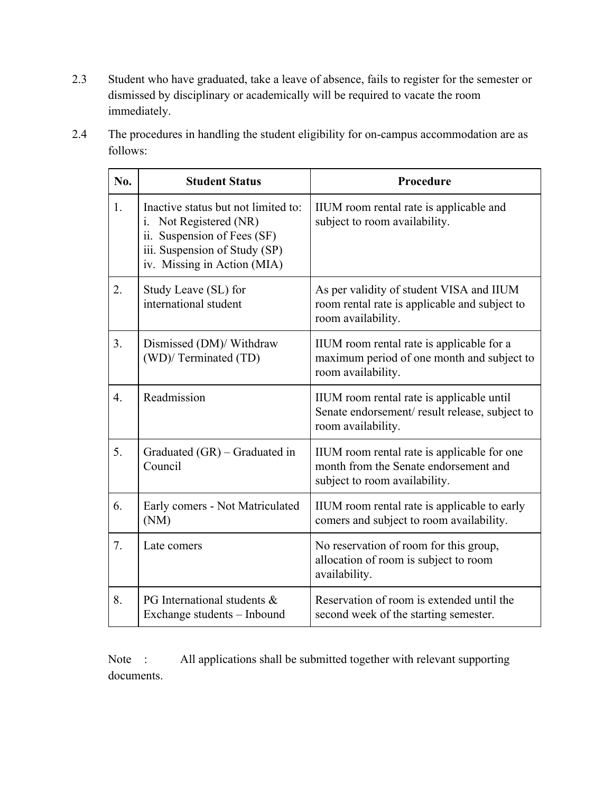2.3 Student who have graduated, take a leave of absence, fails to register for the semester or dismissed by disciplinary or academically will be required to vacate the room immediately.

| 2.4 | The procedures in handling the student eligibility for on-campus accommodation are as |
|-----|---------------------------------------------------------------------------------------|
|     | follows:                                                                              |

| No. | <b>Student Status</b>                                                                                                                                           | Procedure                                                                                                             |
|-----|-----------------------------------------------------------------------------------------------------------------------------------------------------------------|-----------------------------------------------------------------------------------------------------------------------|
| 1.  | Inactive status but not limited to:<br>Not Registered (NR)<br>i.<br>ii. Suspension of Fees (SF)<br>iii. Suspension of Study (SP)<br>iv. Missing in Action (MIA) | IIUM room rental rate is applicable and<br>subject to room availability.                                              |
| 2.  | Study Leave (SL) for<br>international student                                                                                                                   | As per validity of student VISA and IIUM<br>room rental rate is applicable and subject to<br>room availability.       |
| 3.  | Dismissed (DM)/ Withdraw<br>(WD)/ Terminated (TD)                                                                                                               | IIUM room rental rate is applicable for a<br>maximum period of one month and subject to<br>room availability.         |
| 4.  | Readmission                                                                                                                                                     | IIUM room rental rate is applicable until<br>Senate endorsement/result release, subject to<br>room availability.      |
| 5.  | Graduated (GR) – Graduated in<br>Council                                                                                                                        | IIUM room rental rate is applicable for one<br>month from the Senate endorsement and<br>subject to room availability. |
| 6.  | Early comers - Not Matriculated<br>(NM)                                                                                                                         | IIUM room rental rate is applicable to early<br>comers and subject to room availability.                              |
| 7.  | Late comers                                                                                                                                                     | No reservation of room for this group,<br>allocation of room is subject to room<br>availability.                      |
| 8.  | PG International students &<br>Exchange students - Inbound                                                                                                      | Reservation of room is extended until the<br>second week of the starting semester.                                    |

Note : All applications shall be submitted together with relevant supporting documents.